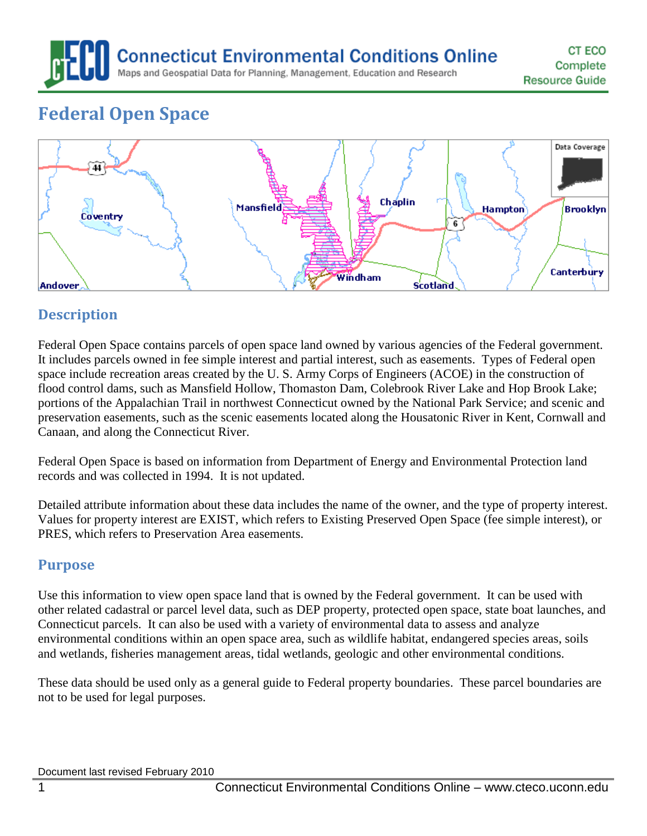**Connecticut Environmental Conditions Online** 

Maps and Geospatial Data for Planning, Management, Education and Research

# **Federal Open Space**



# **Description**

Federal Open Space contains parcels of open space land owned by various agencies of the Federal government. It includes parcels owned in fee simple interest and partial interest, such as easements. Types of Federal open space include recreation areas created by the U. S. Army Corps of Engineers (ACOE) in the construction of flood control dams, such as Mansfield Hollow, Thomaston Dam, Colebrook River Lake and Hop Brook Lake; portions of the Appalachian Trail in northwest Connecticut owned by the National Park Service; and scenic and preservation easements, such as the scenic easements located along the Housatonic River in Kent, Cornwall and Canaan, and along the Connecticut River.

Federal Open Space is based on information from Department of Energy and Environmental Protection land records and was collected in 1994. It is not updated.

Detailed attribute information about these data includes the name of the owner, and the type of property interest. Values for property interest are EXIST, which refers to Existing Preserved Open Space (fee simple interest), or PRES, which refers to Preservation Area easements.

# **Purpose**

Use this information to view open space land that is owned by the Federal government. It can be used with other related cadastral or parcel level data, such as DEP property, protected open space, state boat launches, and Connecticut parcels. It can also be used with a variety of environmental data to assess and analyze environmental conditions within an open space area, such as wildlife habitat, endangered species areas, soils and wetlands, fisheries management areas, tidal wetlands, geologic and other environmental conditions.

These data should be used only as a general guide to Federal property boundaries. These parcel boundaries are not to be used for legal purposes.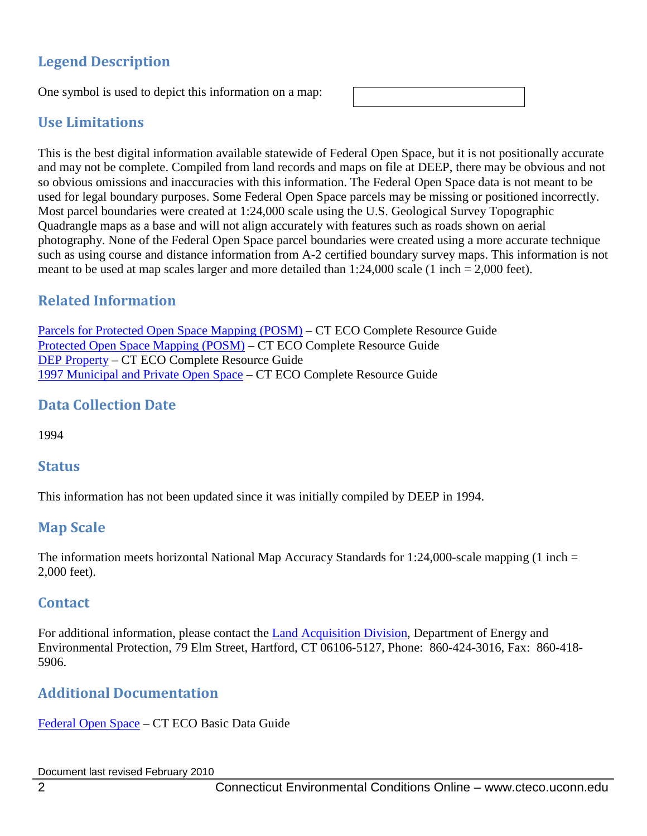# **Legend Description**

One symbol is used to depict this information on a map:

# **Use Limitations**

This is the best digital information available statewide of Federal Open Space, but it is not positionally accurate and may not be complete. Compiled from land records and maps on file at DEEP, there may be obvious and not so obvious omissions and inaccuracies with this information. The Federal Open Space data is not meant to be used for legal boundary purposes. Some Federal Open Space parcels may be missing or positioned incorrectly. Most parcel boundaries were created at 1:24,000 scale using the U.S. Geological Survey Topographic Quadrangle maps as a base and will not align accurately with features such as roads shown on aerial photography. None of the Federal Open Space parcel boundaries were created using a more accurate technique such as using course and distance information from A-2 certified boundary survey maps. This information is not meant to be used at map scales larger and more detailed than  $1:24,000$  scale (1 inch  $= 2,000$  feet).

# **Related Information**

[Parcels for Protected Open Space Mapping \(POSM\)](http://cteco.uconn.edu/guides/resource/CT_ECO_Resource_Guide_Parcel.pdf) – CT ECO Complete Resource Guide [Protected Open Space Mapping \(POSM\)](http://cteco.uconn.edu/guides/resource/CT_ECO_Resource_Guide_Protected_Open_Space.pdf) – CT ECO Complete Resource Guide [DEP Property](http://cteco.uconn.edu/guides/resource/CT_ECO_Resource_Guide_DEP_Property.pdf) – CT ECO Complete Resource Guide [1997 Municipal and Private Open Space](http://cteco.uconn.edu/guides/resource/CT_ECO_Resource_Guide_1997_Municipal_Private_Open_Space.pdf) – CT ECO Complete Resource Guide

# **Data Collection Date**

1994

#### **Status**

This information has not been updated since it was initially compiled by DEEP in 1994.

# **Map Scale**

The information meets horizontal National Map Accuracy Standards for 1:24,000-scale mapping (1 inch  $=$ 2,000 feet).

#### **Contact**

For additional information, please contact the **Land Acquisition Division**, Department of Energy and Environmental Protection, 79 Elm Street, Hartford, CT 06106-5127, Phone: 860-424-3016, Fax: 860-418- 5906.

# **Additional Documentation**

[Federal Open Space](http://cteco.uconn.edu/guides/federal_open_space.htm) – CT ECO Basic Data Guide

Document last revised February 2010